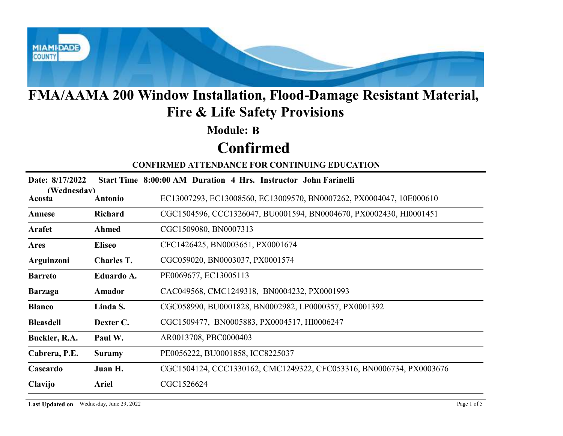

### Module: B

# Confirmed

| <b>Module: B</b><br><b>Confirmed</b><br><b>CONFIRMED ATTENDANCE FOR CONTINUING EDUCATION</b><br>Date: 8/17/2022<br>Start Time 8:00:00 AM Duration 4 Hrs. Instructor John Farinelli<br>(Wednesdav)<br>EC13007293, EC13008560, EC13009570, BN0007262, PX0004047, 10E000610<br><b>Antonio</b><br>Acosta<br>CGC1504596, CCC1326047, BU0001594, BN0004670, PX0002430, HI0001451<br><b>Richard</b><br>Annese<br>CGC1509080, BN0007313<br>Arafet<br>Ahmed<br>CFC1426425, BN0003651, PX0001674<br><b>Eliseo</b><br><b>Ares</b><br>Charles T.<br>CGC059020, BN0003037, PX0001574<br>Arguinzoni<br>PE0069677, EC13005113<br>Eduardo A.<br><b>Barreto</b><br>CAC049568, CMC1249318, BN0004232, PX0001993<br><b>Barzaga</b><br>Amador<br><b>Blanco</b><br>Linda S.<br>CGC058990, BU0001828, BN0002982, LP0000357, PX0001392<br>CGC1509477, BN0005883, PX0004517, HI0006247<br><b>Bleasdell</b><br>Dexter C.<br>AR0013708, PBC0000403<br>Paul W.<br>Buckler, R.A.<br>PE0056222, BU0001858, ICC8225037<br>Cabrera, P.E.<br><b>Suramy</b><br>CGC1504124, CCC1330162, CMC1249322, CFC053316, BN0006734, PX0003676<br>Juan H.<br>Cascardo<br>Clavijo<br>CGC1526624<br><b>Ariel</b> |  | <b>FMA/AAMA 200 Window Installation, Flood-Damage Resistant Material,</b><br><b>Fire &amp; Life Safety Provisions</b> |
|-------------------------------------------------------------------------------------------------------------------------------------------------------------------------------------------------------------------------------------------------------------------------------------------------------------------------------------------------------------------------------------------------------------------------------------------------------------------------------------------------------------------------------------------------------------------------------------------------------------------------------------------------------------------------------------------------------------------------------------------------------------------------------------------------------------------------------------------------------------------------------------------------------------------------------------------------------------------------------------------------------------------------------------------------------------------------------------------------------------------------------------------------------------------|--|-----------------------------------------------------------------------------------------------------------------------|
|                                                                                                                                                                                                                                                                                                                                                                                                                                                                                                                                                                                                                                                                                                                                                                                                                                                                                                                                                                                                                                                                                                                                                                   |  |                                                                                                                       |
|                                                                                                                                                                                                                                                                                                                                                                                                                                                                                                                                                                                                                                                                                                                                                                                                                                                                                                                                                                                                                                                                                                                                                                   |  |                                                                                                                       |
|                                                                                                                                                                                                                                                                                                                                                                                                                                                                                                                                                                                                                                                                                                                                                                                                                                                                                                                                                                                                                                                                                                                                                                   |  |                                                                                                                       |
|                                                                                                                                                                                                                                                                                                                                                                                                                                                                                                                                                                                                                                                                                                                                                                                                                                                                                                                                                                                                                                                                                                                                                                   |  |                                                                                                                       |
|                                                                                                                                                                                                                                                                                                                                                                                                                                                                                                                                                                                                                                                                                                                                                                                                                                                                                                                                                                                                                                                                                                                                                                   |  |                                                                                                                       |
|                                                                                                                                                                                                                                                                                                                                                                                                                                                                                                                                                                                                                                                                                                                                                                                                                                                                                                                                                                                                                                                                                                                                                                   |  |                                                                                                                       |
|                                                                                                                                                                                                                                                                                                                                                                                                                                                                                                                                                                                                                                                                                                                                                                                                                                                                                                                                                                                                                                                                                                                                                                   |  |                                                                                                                       |
|                                                                                                                                                                                                                                                                                                                                                                                                                                                                                                                                                                                                                                                                                                                                                                                                                                                                                                                                                                                                                                                                                                                                                                   |  |                                                                                                                       |
|                                                                                                                                                                                                                                                                                                                                                                                                                                                                                                                                                                                                                                                                                                                                                                                                                                                                                                                                                                                                                                                                                                                                                                   |  |                                                                                                                       |
|                                                                                                                                                                                                                                                                                                                                                                                                                                                                                                                                                                                                                                                                                                                                                                                                                                                                                                                                                                                                                                                                                                                                                                   |  |                                                                                                                       |
|                                                                                                                                                                                                                                                                                                                                                                                                                                                                                                                                                                                                                                                                                                                                                                                                                                                                                                                                                                                                                                                                                                                                                                   |  |                                                                                                                       |
|                                                                                                                                                                                                                                                                                                                                                                                                                                                                                                                                                                                                                                                                                                                                                                                                                                                                                                                                                                                                                                                                                                                                                                   |  |                                                                                                                       |
|                                                                                                                                                                                                                                                                                                                                                                                                                                                                                                                                                                                                                                                                                                                                                                                                                                                                                                                                                                                                                                                                                                                                                                   |  |                                                                                                                       |
|                                                                                                                                                                                                                                                                                                                                                                                                                                                                                                                                                                                                                                                                                                                                                                                                                                                                                                                                                                                                                                                                                                                                                                   |  |                                                                                                                       |
|                                                                                                                                                                                                                                                                                                                                                                                                                                                                                                                                                                                                                                                                                                                                                                                                                                                                                                                                                                                                                                                                                                                                                                   |  |                                                                                                                       |
|                                                                                                                                                                                                                                                                                                                                                                                                                                                                                                                                                                                                                                                                                                                                                                                                                                                                                                                                                                                                                                                                                                                                                                   |  |                                                                                                                       |
|                                                                                                                                                                                                                                                                                                                                                                                                                                                                                                                                                                                                                                                                                                                                                                                                                                                                                                                                                                                                                                                                                                                                                                   |  |                                                                                                                       |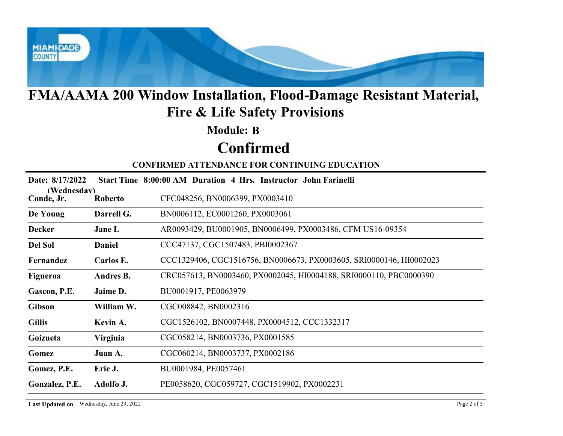

#### Module: B

# Confirmed

| <b>Module: B</b><br><b>Confirmed</b><br><b>CONFIRMED ATTENDANCE FOR CONTINUING EDUCATION</b><br>Date: 8/17/2022<br>Start Time 8:00:00 AM Duration 4 Hrs. Instructor John Farinelli<br>(Wednesdav)<br>CFC048256, BN0006399, PX0003410<br>Conde, Jr.<br>Roberto |  |
|---------------------------------------------------------------------------------------------------------------------------------------------------------------------------------------------------------------------------------------------------------------|--|
|                                                                                                                                                                                                                                                               |  |
|                                                                                                                                                                                                                                                               |  |
|                                                                                                                                                                                                                                                               |  |
|                                                                                                                                                                                                                                                               |  |
|                                                                                                                                                                                                                                                               |  |
| Darrell G.<br>BN0006112, EC0001260, PX0003061<br>De Young                                                                                                                                                                                                     |  |
| AR0093429, BU0001905, BN0006499, PX0003486, CFM US16-09354<br><b>Decker</b><br>Jane L                                                                                                                                                                         |  |
| <b>Del Sol</b><br><b>Daniel</b><br>CCC47137, CGC1507483, PBI0002367                                                                                                                                                                                           |  |
| Carlos E.<br>CCC1329406, CGC1516756, BN0006673, PX0003605, SRI0000146, HI0002023<br>Fernandez                                                                                                                                                                 |  |
| CRC057613, BN0003460, PX0002045, HI0004188, SRI0000110, PBC0000390<br>Andres B.<br>Figueroa                                                                                                                                                                   |  |
| BU0001917, PE0063979<br>Gascon, P.E.<br>Jaime D.                                                                                                                                                                                                              |  |
| CGC008842, BN0002316<br><b>Gibson</b><br>William W.                                                                                                                                                                                                           |  |
| <b>Gillis</b><br>CGC1526102, BN0007448, PX0004512, CCC1332317<br>Kevin A.                                                                                                                                                                                     |  |
| CGC058214, BN0003736, PX0001585<br>Virginia<br>Goizueta                                                                                                                                                                                                       |  |
| CGC060214, BN0003737, PX0002186<br>Gomez<br>Juan A.                                                                                                                                                                                                           |  |
| BU0001984, PE0057461<br>Gomez, P.E.<br>Eric J.                                                                                                                                                                                                                |  |
| PE0058620, CGC059727, CGC1519902, PX0002231<br>Adolfo J.<br>Gonzalez, P.E.                                                                                                                                                                                    |  |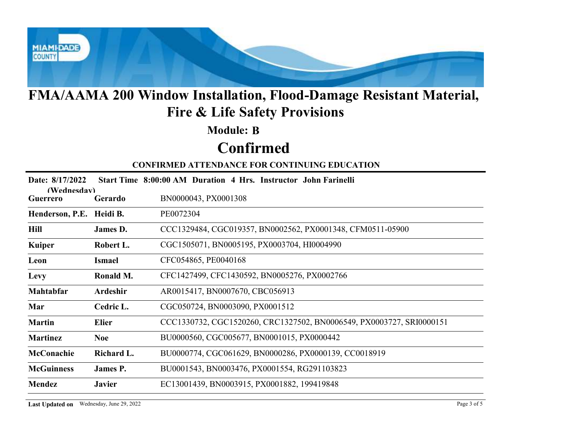

#### Module: B

# Confirmed

| <b>FMA/AAMA 200 Window Installation, Flood-Damage Resistant Material,</b><br><b>Fire &amp; Life Safety Provisions</b> |                 |                                                                      |  |  |  |
|-----------------------------------------------------------------------------------------------------------------------|-----------------|----------------------------------------------------------------------|--|--|--|
|                                                                                                                       |                 | <b>Module: B</b>                                                     |  |  |  |
|                                                                                                                       |                 | <b>Confirmed</b>                                                     |  |  |  |
|                                                                                                                       |                 | <b>CONFIRMED ATTENDANCE FOR CONTINUING EDUCATION</b>                 |  |  |  |
| Date: 8/17/2022                                                                                                       |                 | Start Time 8:00:00 AM Duration 4 Hrs. Instructor John Farinelli      |  |  |  |
| (Wednesdav)<br><b>Guerrero</b>                                                                                        | Gerardo         | BN0000043, PX0001308                                                 |  |  |  |
| Henderson, P.E. Heidi B.                                                                                              |                 | PE0072304                                                            |  |  |  |
| <b>Hill</b>                                                                                                           | <b>James D.</b> | CCC1329484, CGC019357, BN0002562, PX0001348, CFM0511-05900           |  |  |  |
| <b>Kuiper</b>                                                                                                         | Robert L.       | CGC1505071, BN0005195, PX0003704, HI0004990                          |  |  |  |
| Leon                                                                                                                  | <b>Ismael</b>   | CFC054865, PE0040168                                                 |  |  |  |
| Levy                                                                                                                  | Ronald M.       | CFC1427499, CFC1430592, BN0005276, PX0002766                         |  |  |  |
| Mahtabfar                                                                                                             | Ardeshir        | AR0015417, BN0007670, CBC056913                                      |  |  |  |
| Mar                                                                                                                   | Cedric L.       | CGC050724, BN0003090, PX0001512                                      |  |  |  |
| <b>Martin</b>                                                                                                         | <b>Elier</b>    | CCC1330732, CGC1520260, CRC1327502, BN0006549, PX0003727, SRI0000151 |  |  |  |
| <b>Martinez</b>                                                                                                       | <b>Noe</b>      | BU0000560, CGC005677, BN0001015, PX0000442                           |  |  |  |
| McConachie                                                                                                            | Richard L.      | BU0000774, CGC061629, BN0000286, PX0000139, CC0018919                |  |  |  |
| <b>McGuinness</b>                                                                                                     | James P.        | BU0001543, BN0003476, PX0001554, RG291103823                         |  |  |  |
| Mendez                                                                                                                | <b>Javier</b>   | EC13001439, BN0003915, PX0001882, 199419848                          |  |  |  |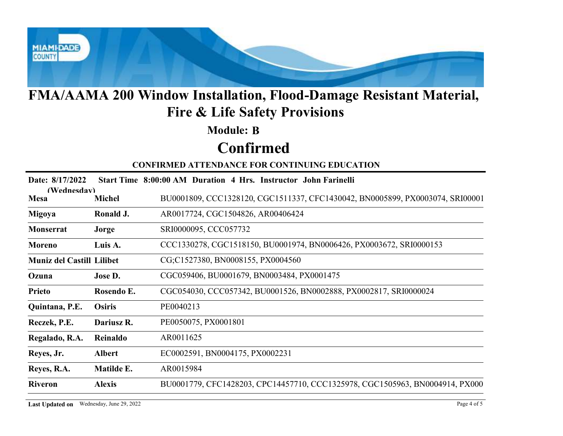

#### Module: B

# Confirmed

| FMA/AAMA 200 Window Installation, Flood-Damage Resistant Material,<br><b>Fire &amp; Life Safety Provisions</b> |                                          |                                                                               |  |  |  |
|----------------------------------------------------------------------------------------------------------------|------------------------------------------|-------------------------------------------------------------------------------|--|--|--|
|                                                                                                                |                                          | <b>Module: B</b>                                                              |  |  |  |
|                                                                                                                |                                          | <b>Confirmed</b>                                                              |  |  |  |
|                                                                                                                |                                          | <b>CONFIRMED ATTENDANCE FOR CONTINUING EDUCATION</b>                          |  |  |  |
| Date: 8/17/2022                                                                                                |                                          | Start Time 8:00:00 AM Duration 4 Hrs. Instructor John Farinelli               |  |  |  |
| (Wednesdav)<br><b>Mesa</b>                                                                                     | <b>Michel</b>                            | BU0001809, CCC1328120, CGC1511337, CFC1430042, BN0005899, PX0003074, SRI00001 |  |  |  |
| Migoya                                                                                                         | Ronald J.                                | AR0017724, CGC1504826, AR00406424                                             |  |  |  |
| Monserrat                                                                                                      | Jorge                                    | SRI0000095, CCC057732                                                         |  |  |  |
| Moreno                                                                                                         | Luis A.                                  | CCC1330278, CGC1518150, BU0001974, BN0006426, PX0003672, SRI0000153           |  |  |  |
| <b>Muniz del Castill Lilibet</b>                                                                               |                                          | CG;C1527380, BN0008155, PX0004560                                             |  |  |  |
| Ozuna                                                                                                          | Jose D.                                  | CGC059406, BU0001679, BN0003484, PX0001475                                    |  |  |  |
| <b>Prieto</b>                                                                                                  | Rosendo E.                               | CGC054030, CCC057342, BU0001526, BN0002888, PX0002817, SRI0000024             |  |  |  |
| Quintana, P.E.                                                                                                 | <b>Osiris</b>                            | PE0040213                                                                     |  |  |  |
| Reczek, P.E.                                                                                                   | Dariusz R.                               | PE0050075, PX0001801                                                          |  |  |  |
| Regalado, R.A.                                                                                                 | Reinaldo                                 | AR0011625                                                                     |  |  |  |
| Reyes, Jr.                                                                                                     | <b>Albert</b>                            | EC0002591, BN0004175, PX0002231                                               |  |  |  |
| Reyes, R.A.                                                                                                    | Matilde E.                               | AR0015984                                                                     |  |  |  |
| <b>Riveron</b>                                                                                                 | <b>Alexis</b>                            | BU0001779, CFC1428203, CPC14457710, CCC1325978, CGC1505963, BN0004914, PX000  |  |  |  |
|                                                                                                                | Last Updated on Wednesday, June 29, 2022 | Page 4 of 5                                                                   |  |  |  |